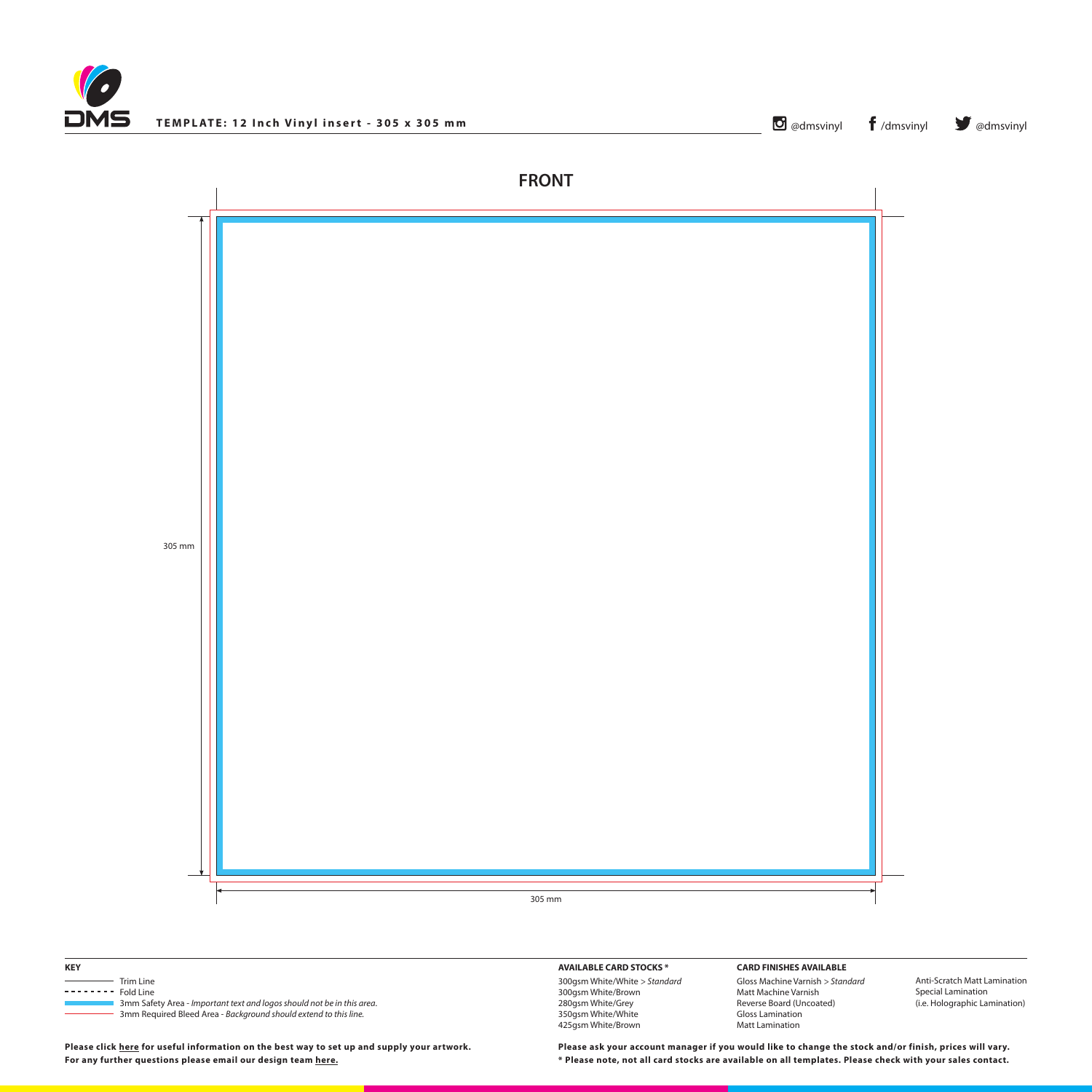





# 305 mm

## **AVAILABLE CARD STOCKS \***

300gsm White/White *> Standard* 300gsm White/Brown 280gsm White/Grey 350gsm White/White 425gsm White/Brown

#### **CARD FINISHES AVAILABLE**

Gloss Machine Varnish *> Standard* Matt Machine Varnish Reverse Board (Uncoated) Gloss Lamination Matt Lamination

Anti-Scratch Matt Lamination Special Lamination (i.e. Holographic Lamination)

**\* Please note, not all card stocks are available on all templates. Please check with your sales contact. Please ask your account manager if you would like to change the stock and/or finish, prices will vary.**

| <b>KEY</b>         |                                                                        |
|--------------------|------------------------------------------------------------------------|
| Trim Line          |                                                                        |
| $------$ Fold Line |                                                                        |
|                    | 3mm Safety Area - Important text and logos should not be in this area. |
|                    | 3mm Required Bleed Area - Background should extend to this line.       |

**Please click [here](http://www.discmanufacturingservices.com/vinyl/templates#artwork-specifications) for useful information on the best way to set up and supply your artwork. For any further questions please email our design team [here](mailto:graphics%40discmanufacturingservices.com?subject=Template%20Enquiry).**